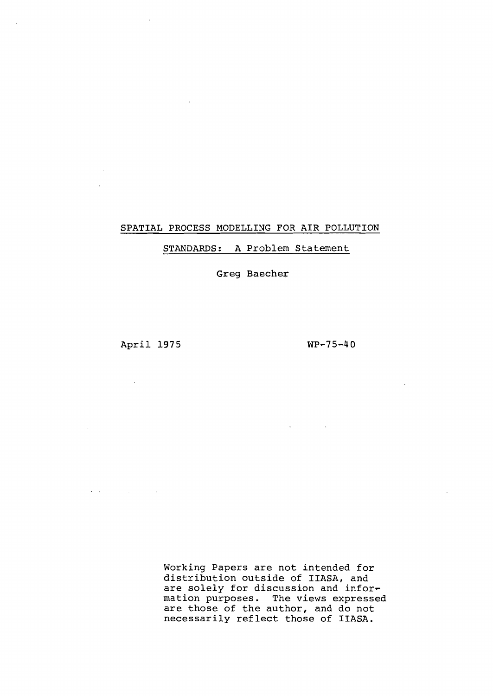### SPATIAL PROCESS MODELLING FOR AIR POLLUTION

STANDARDS: A Problem Statement

Greg Baecher

April 1975

 $\mathbf{r}$ 

 $\sim 10^{11}$  km  $^{-1}$ 

 $\sim 100$ 

 $\mathcal{A}=\mathcal{A}$  , where  $\mathcal{A}$ 

 $WP - 75 - 40$ 

Working Papers are not intended for distribution outside of IIASA, and are solely for discussion and infor~ mation purposes. The views expressed are those of the author, and do not necessarily reflect those of IIASA.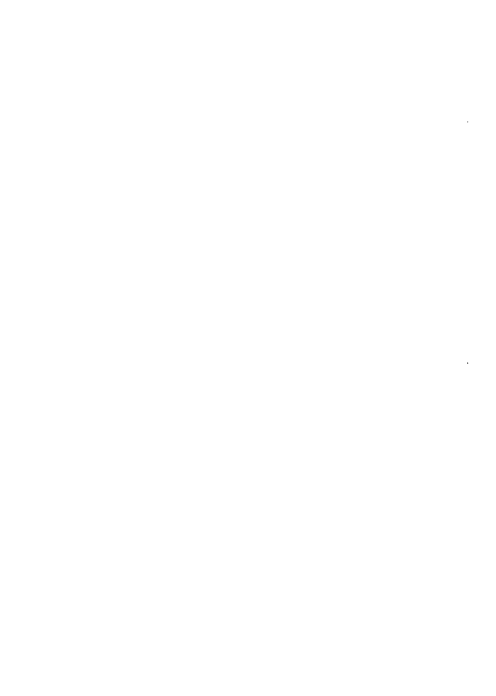$\epsilon$  $\star$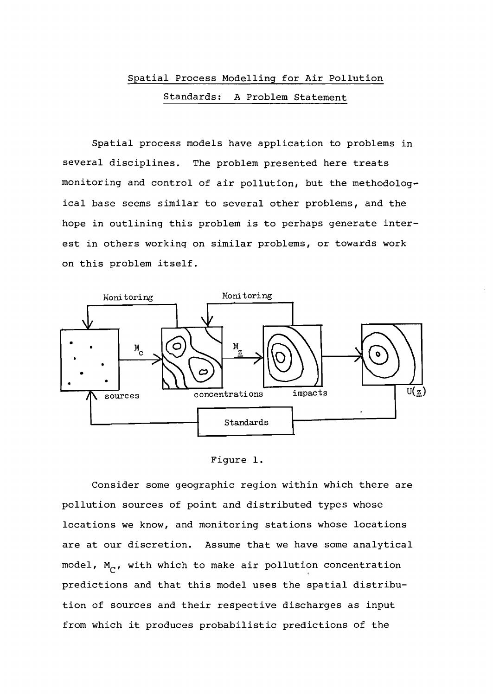# Spatial Process Modelling for Air Pollution Standards: A Problem Statement

Spatial process models have application to problems in several disciplines. The problem presented here treats monitoring and control of air pollution, but the methodological base seems similar to several other problems, and the hope in outlining this problem is to perhaps generate interest in others working on similar problems, or towards work on this problem itself.



#### Figure 1.

Consider some geographic region within which there are pollution sources of point and distributed types whose locations we know, and monitoring stations whose locations are at our discretion. Assume that we have some analytical model,  $M_c$ , with which to make air pollution concentration predictions and that this model uses the spatial distribution of sources and their respective discharges as input from which it produces probabilistic predictions of the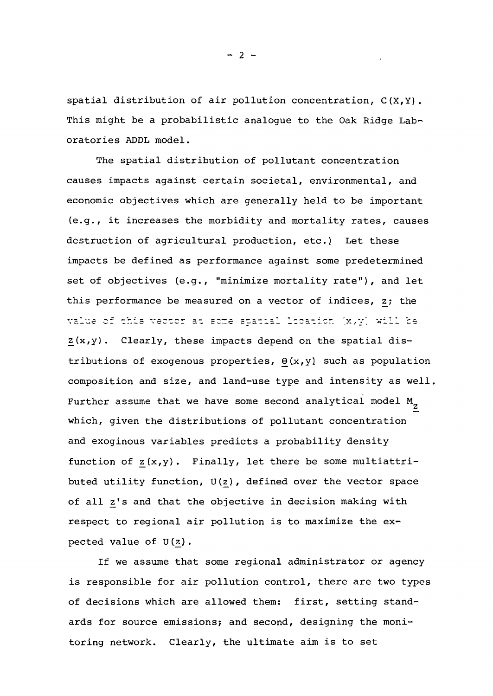spatial distribution of air pollution concentration,  $C(X, Y)$ . This might be a probabilistic analogue to the Oak Ridge Laboratories ADDL model.

The spatial distribution of pollutant concentration causes impacts against certain societal, environmental, and economic objectives which are generally held to be important (e.g., it increases the morbidity and mortality rates, causes destruction of agricultural production, etc.) Let these impacts be defined as performance against some predetermined set of objectives (e.g., "minimize mortality rate"), and let this performance be measured on a vector of indices,  $z$ ; the value of this vector at some spatial location (x,y) will be  $z(x,y)$ . Clearly, these impacts depend on the spatial distributions of exogenous properties,  $\Theta(x,y)$  such as population composition and size, and land-use type and intensity as well. Further assume that we have some second analytical model  $\texttt{M}_{\texttt{z}}$ which, given the distributions of pollutant concentration and exoginous variables predicts a probability density function of  $z(x,y)$ . Finally, let there be some multiattributed utility function,  $U(z)$ , defined over the vector space of all z's and that the objective in decision making with respect to regional air pollution is to maximize the expected value of  $U(z)$ .

If we assume that some regional administrator or agency is responsible for air pollution control, there are two types of decisions which are allowed them: first, setting standards for source emissions; and second, designing the monitoring network. Clearly, the ultimate aim is to set

 $- 2 -$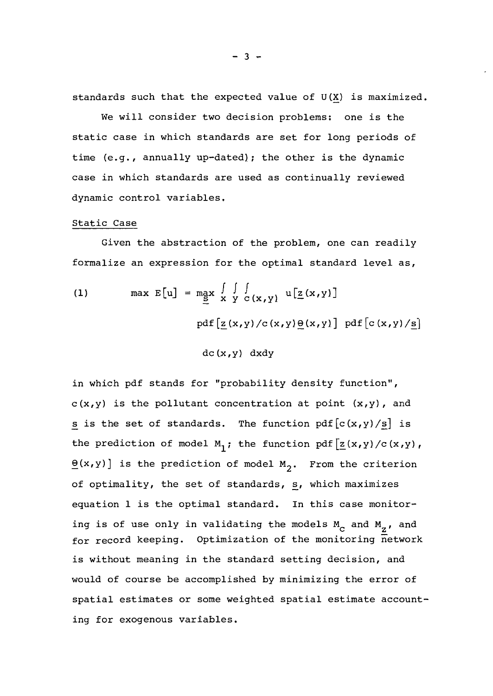standards such that the expected value of  $U(X)$  is maximized.

We will consider two decision problems: one is the static case in which standards are set for long periods of time (e.g., annually up-dated); the other is the dynamic case in which standards are used as continually reviewed dynamic control variables.

#### Static Case

Given the abstraction of the problem, one can readily formalize an expression for the optimal standard level as,

(1) 
$$
\max E[u] = \max_{\underline{S}} \int_{X} \int_{Y} \int_{C(x,y)} u[\underline{z}(x,y)]
$$

$$
\text{pdf}[\underline{z}(x,y)/c(x,y)] \text{ pdf}[c(x,y)/\underline{s}]
$$

 $dc(x,y) dx dy$ 

in which pdf stands for "probability density function",  $c(x,y)$  is the pollutant concentration at point  $(x,y)$ , and s is the set of standards. The function  $pdf[c(x,y)/s]$  is the prediction of model M<sub>1</sub>; the function pdf  $[z(x,y)/c(x,y)]$ ,  $\Theta(x,y)$ ] is the prediction of model M<sub>2</sub>. From the criterion of optimality, the set of standards, s, which maximizes equation <sup>1</sup> is the optimal standard. In this case monitoring is of use only in validating the models  $M^{\text{c}}_{\text{c}}$  and  $M^{\text{c}}_{\text{z}}$ , and for record keeping. Optimization of the monitoring network is without meaning in the standard setting decision, and would of course be accomplished by minimizing the error of spatial estimates or some weighted spatial estimate accounting for exogenous variables.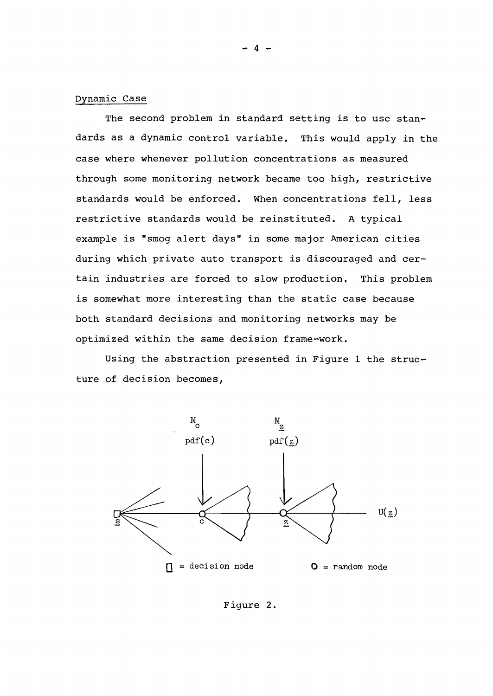## Dynamic Case

The second problem in standard setting is to use standards as a dynamic control variable. This would apply in the case where whenever pollution concentrations as measured through some monitoring network became too high, restrictive standards would be enforced. When concentrations fell, less restrictive standards would be reinstituted. <sup>A</sup> typical example is "smog alert days" in some major American cities during which private auto transport is discouraged and certain industries are forced to slow production. This problem is somewhat more interesting than the static case because both standard decisions and monitoring networks may be optimized within the same decision frame-work.

Using the abstraction presented in Figure 1 the structure of decision becomes,



Figure 2.

 $-4$  -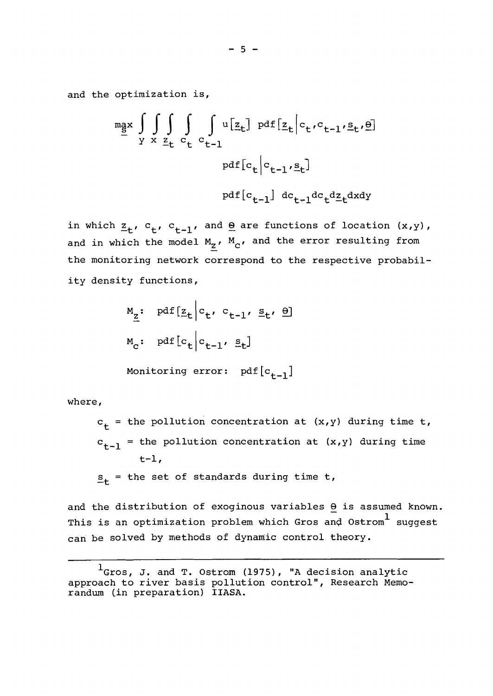and the optimization is,

$$
\begin{aligned}\n\underset{\underline{S}}{\text{max}} & \iint_{\underline{Y}} \iint_{\underline{Z}} \iint_{\underline{c}} \iint_{\underline{c}} u[\underline{z}_{t}] \ \text{pdf}[\underline{z}_{t} | c_{t}, c_{t-1}, \underline{s}_{t}, \underline{\theta}] \\
& \text{pdf}[c_{t}] | c_{t-1}, \underline{s}_{t}] \\
& \text{pdf}[c_{t-1}] \ \text{dc}_{t-1} d c_{t} d \underline{z}_{t} d x d y\n\end{aligned}
$$

in which  $\underline{z}_t$ ,  $c_t$ ,  $c_{t-1}$ , and  $\underline{\theta}$  are functions of location  $(x,y)$ , and in which the model  $M_{Z'}$ ,  $M_{C'}$  and the error resulting from the monitoring network correspond to the respective probability density functions,

$$
M_{Z}: \text{pdf}[z_{t} | c_{t}, c_{t-1}, s_{t}, \Theta]
$$
\n
$$
M_{C}: \text{pdf}[c_{t} | c_{t-1}, s_{t}]
$$
\n
$$
\text{Monitoring error}: \text{pdf}[c_{t-1}]
$$

where,

 $\mathbf{c}_{\mathbf{t}}$  = the pollution concentration at  $(\mathbf{x}, \mathbf{y})$  during time t,  $c_{t-1}$  = the pollution concentration at  $(x,y)$  during time  $t-1$ ,  $s_t$  = the set of standards during time t,

and the distribution of exoginous variables  $\theta$  is assumed known. This is an optimization problem which Gros and Ostrom $^{\text{1}}$  suggest can be solved by methods of dynamic control theory.

 $l_{Gros}$ , J. and T. Ostrom (1975), "A decision analytic approach to river basis pollution control", Research Memorandum (in preparation) IIASA.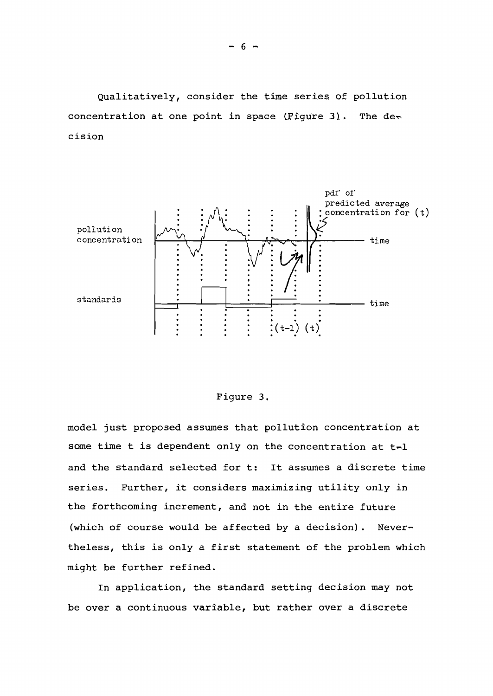Qualitatively, consider the time series of pollution concentration at one point in space (Figure 3). The decision



#### Figure 3.

model just proposed assumes that pollution concentration at some time t is dependent only on the concentration at t-1 and the standard selected for t: It assumes a discrete time Further, it considers maximizing utility only in series. the forthcoming increment, and not in the entire future (which of course would be affected by a decision). Nevertheless, this is only a first statement of the problem which might be further refined.

In application, the standard setting decision may not be over a continuous variable, but rather over a discrete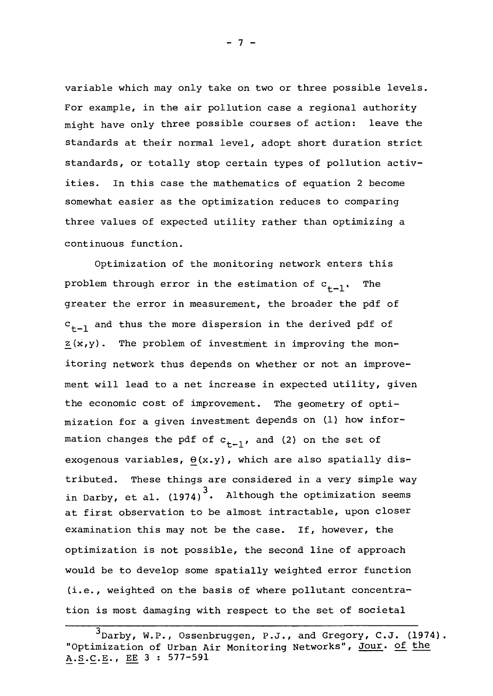variable which may only take on two or three possible levels. For example, in the air pollution case <sup>a</sup> regional authority might have only three possible courses of action: leave the standards at their normal level, adopt short duration strict standards, or totally stop certain types of pollution activities. In this case the mathematics of equation <sup>2</sup> become somewhat easier as the optimization reduces to comparing three values of expected utility rather than optimizing <sup>a</sup> continuous function.

Optimization of the monitoring network enters this problem through error in the estimation of  $c_{t-1}$ . The greater the error in measurement, the broader the pdf of  $c_{t-1}$  and thus the more dispersion in the derived pdf of  $z(x,y)$ . The problem of investment in improving the monitoring network thus depends on whether or not an improvement will lead to <sup>a</sup> net increase in expected utility, given the economic cost of improvement. The geometry of optimization for <sup>a</sup> given investment depends on (l} how information changes the pdf of  $c_{t-1}$ , and (2) on the set of exogenous variables,  $\Theta(x,y)$ , which are also spatially distributed. These things are considered in a very simple way in Darby, et al. (1974)<sup>3</sup>. Although the optimization seems at first observation to be almost intractable, upon closer examination this may not be the case. If, however, the optimization is not possible, the second line of approach would be to develop some spatially weighted error function (i.e., weighted on the basis of where pollutant concentration is most damaging with respect to the set of societal

 $- 7 -$ 

 $3$ Darby, W.P., Ossenbruggen, P.J., and Gregory, C.J. (1974). "Optimization of Urban Air Monitoring Networks", Jour. Of the A.S.C.E., EE 3 : 577-591